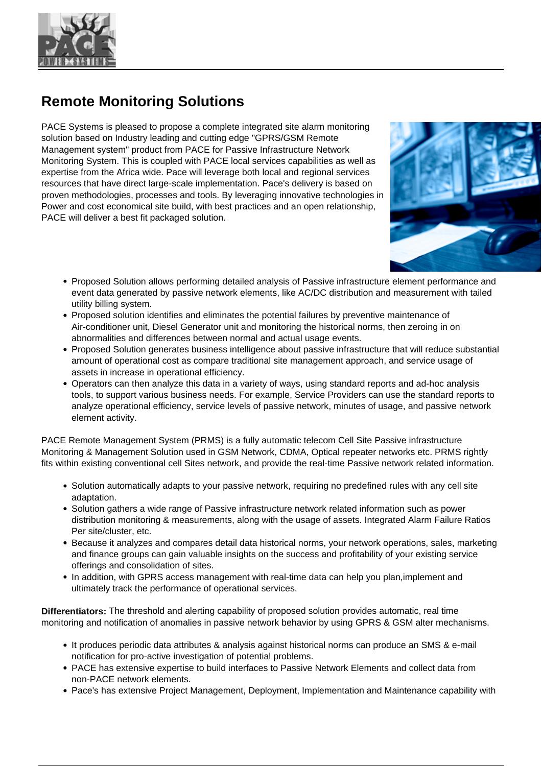

## **Remote Monitoring Solutions**

PACE Systems is pleased to propose a complete integrated site alarm monitoring solution based on Industry leading and cutting edge "GPRS/GSM Remote Management system" product from PACE for Passive Infrastructure Network Monitoring System. This is coupled with PACE local services capabilities as well as expertise from the Africa wide. Pace will leverage both local and regional services resources that have direct large-scale implementation. Pace's delivery is based on proven methodologies, processes and tools. By leveraging innovative technologies in Power and cost economical site build, with best practices and an open relationship, PACE will deliver a best fit packaged solution.



- Proposed Solution allows performing detailed analysis of Passive infrastructure element performance and event data generated by passive network elements, like AC/DC distribution and measurement with tailed utility billing system.
- Proposed solution identifies and eliminates the potential failures by preventive maintenance of Air-conditioner unit, Diesel Generator unit and monitoring the historical norms, then zeroing in on abnormalities and differences between normal and actual usage events.
- Proposed Solution generates business intelligence about passive infrastructure that will reduce substantial amount of operational cost as compare traditional site management approach, and service usage of assets in increase in operational efficiency.
- Operators can then analyze this data in a variety of ways, using standard reports and ad-hoc analysis tools, to support various business needs. For example, Service Providers can use the standard reports to analyze operational efficiency, service levels of passive network, minutes of usage, and passive network element activity.

PACE Remote Management System (PRMS) is a fully automatic telecom Cell Site Passive infrastructure Monitoring & Management Solution used in GSM Network, CDMA, Optical repeater networks etc. PRMS rightly fits within existing conventional cell Sites network, and provide the real-time Passive network related information.

- Solution automatically adapts to your passive network, requiring no predefined rules with any cell site adaptation.
- Solution gathers a wide range of Passive infrastructure network related information such as power distribution monitoring & measurements, along with the usage of assets. Integrated Alarm Failure Ratios Per site/cluster, etc.
- Because it analyzes and compares detail data historical norms, your network operations, sales, marketing and finance groups can gain valuable insights on the success and profitability of your existing service offerings and consolidation of sites.
- In addition, with GPRS access management with real-time data can help you plan, implement and ultimately track the performance of operational services.

**Differentiators:** The threshold and alerting capability of proposed solution provides automatic, real time monitoring and notification of anomalies in passive network behavior by using GPRS & GSM alter mechanisms.

- It produces periodic data attributes & analysis against historical norms can produce an SMS & e-mail notification for pro-active investigation of potential problems.
- PACE has extensive expertise to build interfaces to Passive Network Elements and collect data from non-PACE network elements.
- Pace's has extensive Project Management, Deployment, Implementation and Maintenance capability with